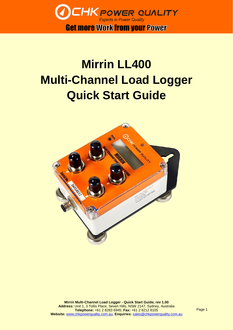

Get more Work from your Power

## **Mirrin LL400 Multi-Channel Load Logger Quick Start Guide**



Page 1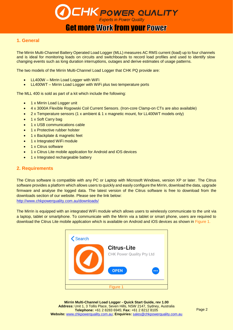# **CHK POWER QUALITY**<br>**Get more Work from your Power**

#### **1. General**

The Mirrin Multi-Channel Battery Operated Load Logger (MLL) measures AC RMS current (load) up to four channels and is ideal for monitoring loads on circuits and switchboards to record load profiles and used to identify slow changing events such as long duration interruptions, outages and derive estimates of usage patterns.

The two models of the Mirrin Multi-Channel Load Logger that CHK PQ provide are:

- LL400W Mirrin Load Logger with WiFi
- LL400WT Mirrin Load Logger with WiFi plus two temperature ports

The MLL 400 is sold as part of a kit which include the following:

- 1 x Mirrin Load Logger unit
- 4 x 3000A Flexible Rogowski Coil Current Sensors. (Iron-core Clamp-on CTs are also available)
- 2 x Temperature sensors (1 x ambient & 1 x magnetic mount, for LL400WT models only)
- 1 x Soft Carry bag
- 1 x USB communications cable
- 1 x Protective rubber holster
- 1 x Backplate & magnetic feet
- 1 x Integrated WiFi module
- 1 x Citrus software
- 1 x Citrus Lite mobile application for Android and iOS devices
- 1 x Integrated rechargeable battery

#### **2. Requirements**

The Citrus software is compatible with any PC or Laptop with Microsoft Windows, version XP or later. The Citrus software provides a platform which allows users to quickly and easily configure the Mirrin, download the data, upgrade firmware and analyse the logged data. The latest version of the Citrus software is free to download from the downloads section of our website. Please see the link below:

<http://www.chkpowerquality.com.au/downloads/>

The Mirrin is equipped with an integrated WiFi module which allows users to wirelessly communicate to the unit via a laptop, tablet or smartphone. To communicate with the Mirrin via a tablet or smart phone, users are required to download the Citrus Lite mobile application which is available on Android and iOS devices as shown in Figure 1.

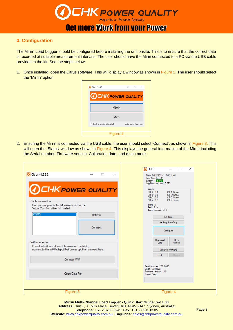

## **Get more Work from your Power**

#### **3. Configuration**

The Mirrin Load Logger should be configured before installing the unit onsite. This is to ensure that the correct data is recorded at suitable measurement intervals. The user should have the Mirin connected to a PC via the USB cable provided in the kit. See the steps below:

1. Once installed, open the Citrus software. This will display a window as shown in Figure 2. The user should select the 'Mirrin' option.

| <b>O</b> Citrus v1.2.3.5                             | $\times$<br>п            |
|------------------------------------------------------|--------------------------|
| <b>OCHK POWER QUALITY</b>                            |                          |
| <b>Mirrin</b>                                        |                          |
| Miro                                                 |                          |
| $\sqrt{\phantom{a}}$ Check for updates automatically | Last checked 4 days ago. |
| Figure 2                                             |                          |

2. Ensuring the Mirrin is connected via the USB cable, the user should select 'Connect', as shown in Figure 3. This will open the 'Status' window as shown in Figure 4. This displays the general information of the Mirrin including the Serial number; Firmware version; Calibration date; and much more.

|                                                                                                                                        | <b>O</b> Status<br>$\Box$<br>$\times$                                                                                                                                   |
|----------------------------------------------------------------------------------------------------------------------------------------|-------------------------------------------------------------------------------------------------------------------------------------------------------------------------|
| Citrus v1.2.3.5<br>$\Box$<br>$\times$<br><b>OCHKPOWER QUALITY</b>                                                                      | Time: 8/02/2019 11:55:21 AM<br>Boot Counter: 361<br>Battery: 3.37V<br>Log Memory Used: 0.03%<br><b>Inputs</b>                                                           |
| Cable connection<br>If no ports appear in the list, make sure that the<br>Virtual Com Port driver is installed.                        | CH A: 0.0<br>CT A: None<br>CH B: 0.0 CT B: None<br>$CH C: 0.0$<br>CHN: 0.0<br>CTC: None<br>CH N: 0.0<br>CT N: None<br>Temp $1: -$<br>Temp $2: -$<br>Temp Internal: 24.6 |
| COM <sub>3</sub><br>Refresh                                                                                                            | Set Time                                                                                                                                                                |
| Connect                                                                                                                                | Set Log Start/Stop<br>Configure                                                                                                                                         |
| WiFi connection<br>Press the button on the unit to wake up the Minin,<br>connect to the WiFi hotspot that comes up, then connect here. | Download<br>Clear<br><b>Data</b><br>Memory<br>Upgrade Firmware                                                                                                          |
| Connect WiFi                                                                                                                           | Lock<br>Unlock                                                                                                                                                          |
| Open Data File                                                                                                                         | Serial Number: 17040025<br>Model: LL400WT<br>Firmware Version: 1.15<br>Status: Good                                                                                     |
| Figure 3                                                                                                                               | Figure 4                                                                                                                                                                |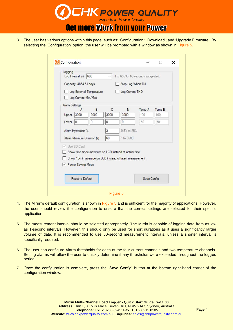

3. The user has various options within this page, such as: 'Configuration'; 'Download'; and 'Upgrade Firmware'. By selecting the 'Configuration' option, the user will be prompted with a window as shown in Figure 5.

| Logging        |                        |                            |              |                                                          |                                   |        |
|----------------|------------------------|----------------------------|--------------|----------------------------------------------------------|-----------------------------------|--------|
|                | Log Interval (s): 600  |                            | $\checkmark$ |                                                          | 1 to 65535. 60 seconds suggested. |        |
|                | Capacity: 4854.51 days |                            |              | Stop Log When Full                                       |                                   |        |
|                |                        | Log External Temperature   |              | Log Current THD                                          |                                   |        |
|                | Log Current Min/Max    |                            |              |                                                          |                                   |        |
| Alarm Settings |                        |                            |              |                                                          |                                   |        |
|                | А                      | B                          | C            | N                                                        | Temp A                            | Temp B |
| Upper $3000$   |                        | 3000                       | 3000         | 3000                                                     | 100                               | 100    |
| Lower 0        |                        | 0                          | 0            | 0                                                        | $-50$                             | $-50$  |
|                | Alarm Hysteresis %     |                            | 3            | 0.5% to 25%                                              |                                   |        |
|                |                        | Alarm Minimum Duration (s) | 60           | 1 to 3600                                                |                                   |        |
|                | V Use SD Card          |                            |              |                                                          |                                   |        |
|                |                        |                            |              | Show time-since-maximum on LCD instead of actual time    |                                   |        |
|                |                        |                            |              | Show 15-min average on LCD instead of latest measurement |                                   |        |
|                | Power Saving Mode      |                            |              |                                                          |                                   |        |
|                |                        |                            |              |                                                          |                                   |        |
|                |                        |                            |              |                                                          |                                   |        |
|                |                        | Reset to Default           |              |                                                          | Save Config                       |        |

- 4. The Mirrin's default configuration is shown in Figure 5 and is sufficient for the majority of applications. However, the user should review the configuration to ensure that the correct settings are selected for their specific application.
- 5. The measurement interval should be selected appropriately. The Mirrin is capable of logging data from as low as 1-second intervals. However, this should only be used for short durations as it uses a significantly larger volume of data. It is recommended to use 60-second measurement intervals, unless a shorter interval is specifically required.
- 6. The user can configure Alarm thresholds for each of the four current channels and two temperature channels. Setting alarms will allow the user to quickly determine if any thresholds were exceeded throughout the logged period.
- 7. Once the configuration is complete, press the 'Save Config' button at the bottom right-hand corner of the configuration window.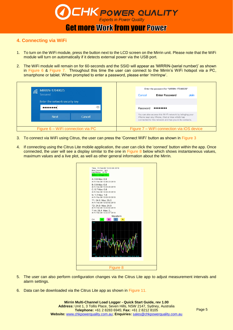

#### **Get more Work from your Power**

#### **4. Connecting via WiFi**

- 1. To turn on the WiFi module, press the button next to the LCD screen on the Mirrin unit. Please note that the WiFi module will turn on automatically if it detects external power via the USB port.
- 2. The WiFi module will remain on for 60-seconds and the SSID will appear as 'MIRRIN-{serial number}' as shown in Figure 6 & Figure 7. Throughout this time the user can connect to the Mirrin's WiFi hotspot via a PC, smartphone or tablet. When prompted to enter a password, please enter 'mirrinpw'.

| MIRRIN-17040025<br>(Fa<br>Secured  |                   | Cancel   | Enter the password for "MIRRIN-17040025"<br><b>Enter Password</b>                                                                                                  | <b>Join</b> |
|------------------------------------|-------------------|----------|--------------------------------------------------------------------------------------------------------------------------------------------------------------------|-------------|
| Enter the network security key<br> | $\widehat{\circ}$ | Password |                                                                                                                                                                    |             |
| <b>Next</b>                        | Cancel            |          | You can also access this Wi-Fi network by bringing your<br>iPhone near any iPhone, iPad or Mac which has<br>connected to this network and has you in its contacts. |             |
| Figure 6 - WiFi connection via PC  |                   |          | Figure 7 – WiFi connection via iOS device                                                                                                                          |             |

- 3. To connect via WiFi using Citrus, the user can press the 'Connect WiFi' button as shown in Figure 3
- 4. If connecting using the Citrus Lite mobile application, the user can click the 'connect' button within the app. Once connected, the user will see a display similar to the one in Figure 8 below which shows instantaneous values, maximum values and a live plot, as well as other general information about the Mirrin.



- 5. The user can also perform configuration changes via the Citrus Lite app to adjust measurement intervals and alarm settings.
- 6. Data can be downloaded via the Citrus Lite app as shown in Figure 11.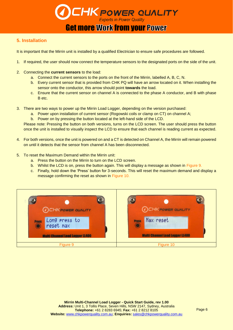

#### **5. Installation**

It is important that the Mirrin unit is installed by a qualified Electrician to ensure safe procedures are followed.

- 1. If required, the user should now connect the temperature sensors to the designated ports on the side of the unit.
- 2. Connecting the **current sensors** to the load:
	- a. Connect the current sensors to the ports on the front of the Mirrin, labelled A, B, C, N.
	- b. Every current sensor that is provided from CHK PQ will have an arrow located on it. When installing the sensor onto the conductor, this arrow should point **towards** the load.
	- c. Ensure that the current sensor on channel A is connected to the phase A conductor, and B with phase B etc.
- 3. There are two ways to power up the Mirrin Load Logger, depending on the version purchased:
	- a. Power upon installation of current sensor (Rogowski coils or clamp on CT) on channel A;
	- b. Power on by pressing the button located at the left-hand side of the LCD.

Please note: Pressing the button on both versions, turns on the LCD screen. The user should press the button once the unit is installed to visually inspect the LCD to ensure that each channel is reading current as expected.

- 4. For both versions, once the unit is powered on and a CT is detected on Channel A, the Mirrin will remain powered on until it detects that the sensor from channel A has been disconnected.
- 5. To reset the Maximum Demand within the Mirrin unit:
	- a. Press the button on the Mirrin to turn on the LCD screen.
	- b. Whilst the LCD is on, press the button again. This will display a message as shown in Figure 9.
	- c. Finally, hold down the 'Press' button for 3-seconds. This will reset the maximum demand and display a message confirming the reset as shown in Figure 10.